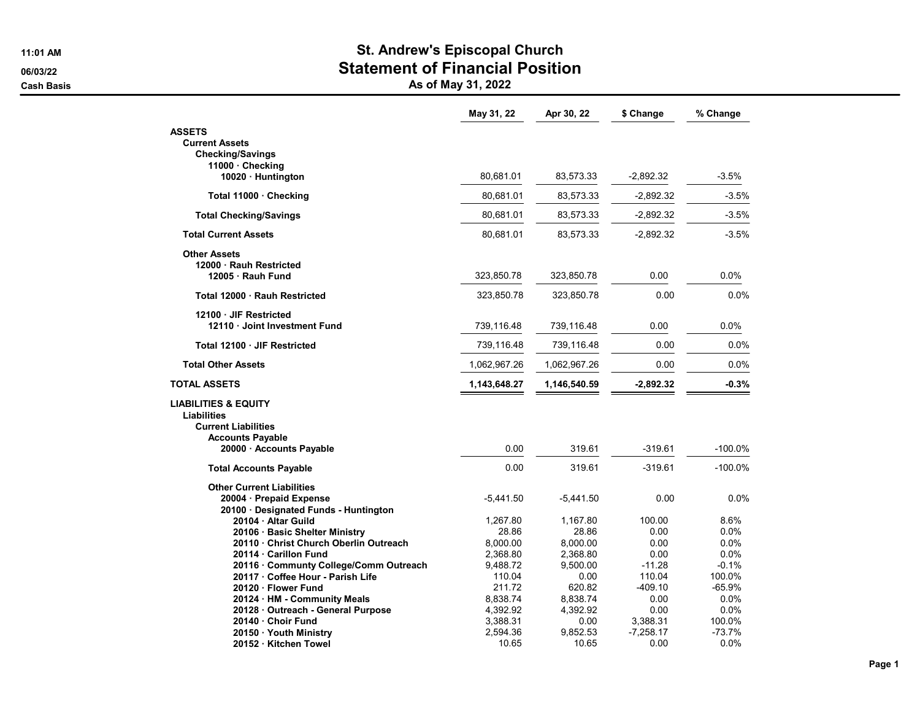## 11:01 AM St. Andrew's Episcopal Church 06/03/22 Statement of Financial Position

Cash Basis **As of May 31, 2022** 

|                                        | May 31, 22   | Apr 30, 22   | \$ Change   | % Change   |
|----------------------------------------|--------------|--------------|-------------|------------|
| <b>ASSETS</b>                          |              |              |             |            |
| <b>Current Assets</b>                  |              |              |             |            |
| <b>Checking/Savings</b>                |              |              |             |            |
| 11000 Checking                         |              |              |             |            |
| 10020 · Huntington                     | 80,681.01    | 83,573.33    | $-2,892.32$ | $-3.5%$    |
| Total 11000 · Checking                 | 80,681.01    | 83.573.33    | $-2,892.32$ | $-3.5%$    |
| <b>Total Checking/Savings</b>          | 80,681.01    | 83,573.33    | $-2,892.32$ | $-3.5%$    |
| <b>Total Current Assets</b>            | 80,681.01    | 83,573.33    | $-2,892.32$ | $-3.5%$    |
| <b>Other Assets</b>                    |              |              |             |            |
| 12000 · Rauh Restricted                |              |              |             |            |
| 12005 Rauh Fund                        | 323,850.78   | 323,850.78   | 0.00        | $0.0\%$    |
| Total 12000 · Rauh Restricted          | 323,850.78   | 323,850.78   | 0.00        | 0.0%       |
|                                        |              |              |             |            |
| 12100 JIF Restricted                   |              |              |             |            |
| 12110 Joint Investment Fund            | 739,116.48   | 739,116.48   | 0.00        | 0.0%       |
| Total 12100 · JIF Restricted           | 739,116.48   | 739,116.48   | 0.00        | 0.0%       |
| <b>Total Other Assets</b>              | 1,062,967.26 | 1,062,967.26 | 0.00        | 0.0%       |
| <b>TOTAL ASSETS</b>                    | 1,143,648.27 | 1,146,540.59 | $-2,892.32$ | $-0.3%$    |
| <b>LIABILITIES &amp; EQUITY</b>        |              |              |             |            |
| <b>Liabilities</b>                     |              |              |             |            |
| <b>Current Liabilities</b>             |              |              |             |            |
| <b>Accounts Payable</b>                |              |              |             |            |
| 20000 Accounts Payable                 | 0.00         | 319.61       | $-319.61$   | $-100.0\%$ |
| <b>Total Accounts Payable</b>          | 0.00         | 319.61       | $-319.61$   | $-100.0%$  |
| <b>Other Current Liabilities</b>       |              |              |             |            |
| 20004 · Prepaid Expense                | $-5,441.50$  | $-5,441.50$  | 0.00        | 0.0%       |
| 20100 · Designated Funds - Huntington  |              |              |             |            |
| 20104 · Altar Guild                    | 1.267.80     | 1.167.80     | 100.00      | 8.6%       |
| 20106 · Basic Shelter Ministry         | 28.86        | 28.86        | 0.00        | $0.0\%$    |
| 20110 Christ Church Oberlin Outreach   | 8,000.00     | 8,000.00     | 0.00        | $0.0\%$    |
| 20114 · Carillon Fund                  | 2,368.80     | 2,368.80     | 0.00        | 0.0%       |
| 20116 · Communty College/Comm Outreach | 9,488.72     | 9,500.00     | $-11.28$    | $-0.1%$    |
| 20117 · Coffee Hour - Parish Life      | 110.04       | 0.00         | 110.04      | 100.0%     |
| 20120 · Flower Fund                    | 211.72       | 620.82       | -409.10     | $-65.9%$   |
| 20124 · HM - Community Meals           | 8,838.74     | 8,838.74     | 0.00        | $0.0\%$    |
| 20128 · Outreach - General Purpose     | 4,392.92     | 4,392.92     | 0.00        | $0.0\%$    |
| 20140 Choir Fund                       | 3,388.31     | 0.00         | 3,388.31    | 100.0%     |
| 20150 · Youth Ministry                 | 2,594.36     | 9.852.53     | $-7,258.17$ | $-73.7%$   |
| 20152 · Kitchen Towel                  | 10.65        | 10.65        | 0.00        | 0.0%       |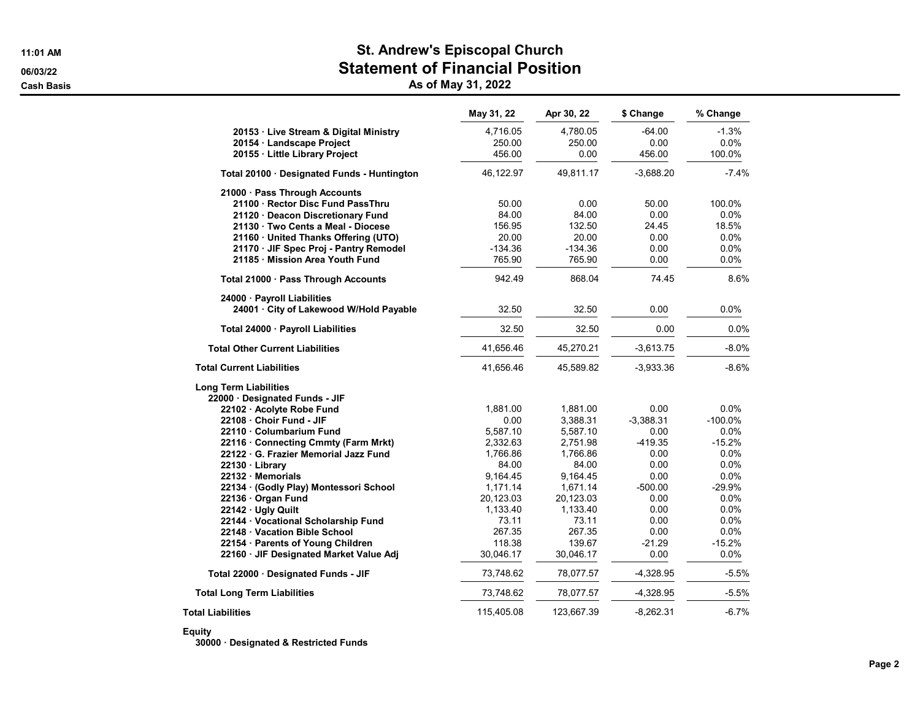## 11:01 AM St. Andrew's Episcopal Church 06/03/22 Statement of Financial Position

Cash Basis **As of May 31, 2022** 

|                                             | May 31, 22 | Apr 30, 22 | \$ Change   | % Change   |
|---------------------------------------------|------------|------------|-------------|------------|
| 20153 · Live Stream & Digital Ministry      | 4,716.05   | 4,780.05   | $-64.00$    | $-1.3%$    |
| 20154 · Landscape Project                   | 250.00     | 250.00     | 0.00        | 0.0%       |
| 20155 · Little Library Project              | 456.00     | 0.00       | 456.00      | 100.0%     |
| Total 20100 · Designated Funds - Huntington | 46,122.97  | 49,811.17  | $-3,688.20$ | $-7.4%$    |
| 21000 · Pass Through Accounts               |            |            |             |            |
| 21100 · Rector Disc Fund PassThru           | 50.00      | 0.00       | 50.00       | 100.0%     |
| 21120 · Deacon Discretionary Fund           | 84.00      | 84.00      | 0.00        | 0.0%       |
| 21130 · Two Cents a Meal - Diocese          | 156.95     | 132.50     | 24.45       | 18.5%      |
| 21160 · United Thanks Offering (UTO)        | 20.00      | 20.00      | 0.00        | 0.0%       |
| 21170 · JIF Spec Proj - Pantry Remodel      | $-134.36$  | $-134.36$  | 0.00        | 0.0%       |
| 21185 Mission Area Youth Fund               | 765.90     | 765.90     | 0.00        | 0.0%       |
| Total 21000 · Pass Through Accounts         | 942.49     | 868.04     | 74.45       | 8.6%       |
| 24000 · Payroll Liabilities                 |            |            |             |            |
| 24001 · City of Lakewood W/Hold Payable     | 32.50      | 32.50      | 0.00        | 0.0%       |
| Total 24000 · Payroll Liabilities           | 32.50      | 32.50      | 0.00        | 0.0%       |
| <b>Total Other Current Liabilities</b>      | 41,656.46  | 45,270.21  | $-3,613.75$ | $-8.0%$    |
| <b>Total Current Liabilities</b>            | 41,656.46  | 45,589.82  | $-3,933.36$ | $-8.6%$    |
| <b>Long Term Liabilities</b>                |            |            |             |            |
| 22000 · Designated Funds - JIF              |            |            |             |            |
| 22102 · Acolyte Robe Fund                   | 1,881.00   | 1,881.00   | 0.00        | 0.0%       |
| 22108 Choir Fund - JIF                      | 0.00       | 3,388.31   | $-3,388.31$ | $-100.0\%$ |
| 22110 Columbarium Fund                      | 5,587.10   | 5,587.10   | 0.00        | 0.0%       |
| 22116 · Connecting Cmmty (Farm Mrkt)        | 2,332.63   | 2,751.98   | $-419.35$   | $-15.2%$   |
| 22122 · G. Frazier Memorial Jazz Fund       | 1,766.86   | 1,766.86   | 0.00        | 0.0%       |
| 22130 · Library                             | 84.00      | 84.00      | 0.00        | 0.0%       |
| 22132 Memorials                             | 9,164.45   | 9,164.45   | 0.00        | 0.0%       |
| 22134 · (Godly Play) Montessori School      | 1,171.14   | 1,671.14   | $-500.00$   | $-29.9%$   |
| 22136 · Organ Fund                          | 20,123.03  | 20,123.03  | 0.00        | $0.0\%$    |
| 22142 · Ugly Quilt                          | 1,133.40   | 1,133.40   | 0.00        | 0.0%       |
| 22144 · Vocational Scholarship Fund         | 73.11      | 73.11      | 0.00        | 0.0%       |
| 22148 · Vacation Bible School               | 267.35     | 267.35     | 0.00        | 0.0%       |
| 22154 · Parents of Young Children           | 118.38     | 139.67     | -21.29      | $-15.2%$   |
| 22160 · JIF Designated Market Value Adj     | 30,046.17  | 30,046.17  | 0.00        | 0.0%       |
| Total 22000 · Designated Funds - JIF        | 73,748.62  | 78,077.57  | $-4,328.95$ | $-5.5%$    |
| <b>Total Long Term Liabilities</b>          | 73,748.62  | 78,077.57  | $-4,328.95$ | $-5.5%$    |
| <b>Total Liabilities</b>                    | 115,405.08 | 123,667.39 | $-8,262.31$ | $-6.7%$    |

## Equity

30000 · Designated & Restricted Funds